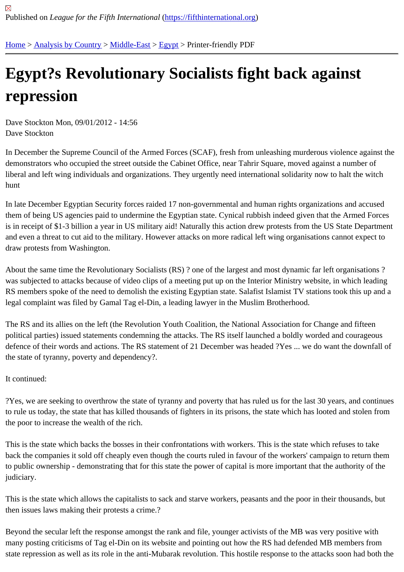## [Eg](https://fifthinternational.org/)y[pt?s Revo](https://fifthinternational.org/category/1)[lutiona](https://fifthinternational.org/category/1/178)[ry S](https://fifthinternational.org/category/1/178/181)ocialists fight back against repression

Dave Stockton Mon, 09/01/2012 - 14:56 Dave Stockton

In December the Supreme Council of the Armed Forces (SCAF), fresh from unleashing murderous violence against demonstrators who occupied the street outside the Cabinet Office, near Tahrir Square, moved against a number of liberal and left wing individuals and organizations. They urgently need international solidarity now to halt the witch hunt

In late December Egyptian Security forces raided 17 non-governmental and human rights organizations and accus them of being US agencies paid to undermine the Egyptian state. Cynical rubbish indeed given that the Armed Fo is in receipt of \$1-3 billion a year in US military aid! Naturally this action drew protests from the US State Departme and even a threat to cut aid to the military. However attacks on more radical left wing organisations cannot expect draw protests from Washington.

About the same time the Revolutionary Socialists (RS) ? one of the largest and most dynamic far left organisations ? was subjected to attacks because of video clips of a meeting put up on the Interior Ministry website, in which leadi RS members spoke of the need to demolish the existing Egyptian state. Salafist Islamist TV stations took this up a legal complaint was filed by Gamal Tag el-Din, a leading lawyer in the Muslim Brotherhood.

The RS and its allies on the left (the Revolution Youth Coalition, the National Association for Change and fifteen political parties) issued statements condemning the attacks. The RS itself launched a boldly worded and courageo defence of their words and actions. The RS statement of 21 December was headed ?Yes ... we do want the down the state of tyranny, poverty and dependency?.

It continued:

?Yes, we are seeking to overthrow the state of tyranny and poverty that has ruled us for the last 30 years, and cor to rule us today, the state that has killed thousands of fighters in its prisons, the state which has looted and stolen the poor to increase the wealth of the rich.

This is the state which backs the bosses in their confrontations with workers. This is the state which refuses to take back the companies it sold off cheaply even though the courts ruled in favour of the workers' campaign to return th to public ownership - demonstrating that for this state the power of capital is more important that the authority of th judiciary.

This is the state which allows the capitalists to sack and starve workers, peasants and the poor in their thousands, then issues laws making their protests a crime.?

Beyond the secular left the response amongst the rank and file, younger activists of the MB was very positive with many posting criticisms of Tag el-Din on its website and pointing out how the RS had defended MB members from state repression as well as its role in the anti-Mubarak revolution. This hostile response to the attacks soon had bo